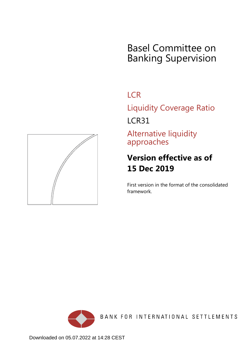# Basel Committee on Banking Supervision

## **LCR**

Liquidity Coverage Ratio

LCR31

Alternative liquidity approaches

## **Version effective as of 15 Dec 2019**

First version in the format of the consolidated framework.



BANK FOR INTERNATIONAL SETTLEMENTS

<span id="page-0-0"></span>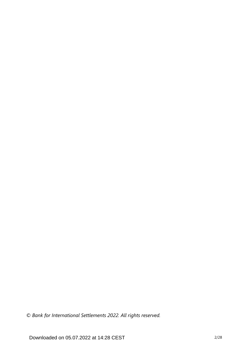*© Bank for International Settlements 2022. All rights reserved.*

Downloaded on 05.07.2022 at 14:28 CEST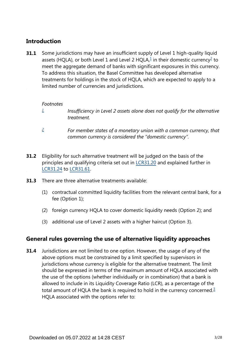## **Introduction**

<span id="page-2-2"></span>Some jurisdictions may have an insufficient supply of Level 1 high-quality liquid assets (HQLA), or both Level [1](#page-2-0) and Level [2](#page-2-1) HQLA, $\frac{1}{2}$  in their domestic currency<sup>2</sup> to meet the aggregate demand of banks with significant exposures in this currency. To address this situation, the Basel Committee has developed alternative treatments for holdings in the stock of HQLA, which are expected to apply to a limited number of currencies and jurisdictions. **31.1**

#### *Footnotes*

- <span id="page-2-0"></span>*Insufficiency in Level 2 assets alone does not qualify for the alternative treatment. [1](#page-2-2)*
- *For member states of a monetary union with a common currency, that common currency is considered the "domestic currency". [2](#page-2-2)*
- <span id="page-2-1"></span>Eligibility for such alternative treatment will be judged on the basis of the principles and qualifying criteria set out in [LCR31.20](https://www.bis.org/basel_framework/chapter/LCR/31.htm?tldate=20191231&inforce=20191215&published=20191215#paragraph_LCR_31_20191215_31_20) and explained further in [LCR31.24](https://www.bis.org/basel_framework/chapter/LCR/31.htm?tldate=20191231&inforce=20191215&published=20191215#paragraph_LCR_31_20191215_31_24) to [LCR31.61](https://www.bis.org/basel_framework/chapter/LCR/31.htm?tldate=20191231&inforce=20191215&published=20191215#paragraph_LCR_31_20191215_31_61). **31.2**
- **31.3** There are three alternative treatments available:
	- (1) contractual committed liquidity facilities from the relevant central bank, for a fee (Option 1);
	- (2) foreign currency HQLA to cover domestic liquidity needs (Option 2); and
	- (3) additional use of Level 2 assets with a higher haircut (Option 3).

## **General rules governing the use of alternative liquidity approaches**

<span id="page-2-3"></span>Jurisdictions are not limited to one option. However, the usage of any of the above options must be constrained by a limit specified by supervisors in jurisdictions whose currency is eligible for the alternative treatment. The limit should be expressed in terms of the maximum amount of HQLA associated with the use of the options (whether individually or in combination) that a bank is allowed to include in its Liquidity Coverage Ratio (LCR), as a percentage of the total amount of HQLA the bank is required to hold in the currency concerned.<sup>[3](#page-3-0)</sup> HQLA associated with the options refer to: **31.4**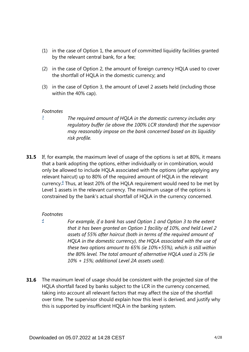- (1) in the case of Option 1, the amount of committed liquidity facilities granted by the relevant central bank, for a fee;
- (2) in the case of Option 2, the amount of foreign currency HQLA used to cover the shortfall of HQLA in the domestic currency; and
- (3) in the case of Option 3, the amount of Level 2 assets held (including those within the 40% cap).

<span id="page-3-0"></span>*[3](#page-2-3)*

*The required amount of HQLA in the domestic currency includes any regulatory buffer (ie above the 100% LCR standard) that the supervisor may reasonably impose on the bank concerned based on its liquidity risk profile.*

<span id="page-3-2"></span>**31.5** If, for example, the maximum level of usage of the options is set at 80%, it means that a bank adopting the options, either individually or in combination, would only be allowed to include HQLA associated with the options (after applying any relevant haircut) up to 80% of the required amount of HQLA in the relevant currency.<sup>[4](#page-3-1)</sup> Thus, at least 20% of the HQLA requirement would need to be met by Level 1 assets in the relevant currency. The maximum usage of the options is constrained by the bank's actual shortfall of HQLA in the currency concerned.

#### *Footnotes*

<span id="page-3-1"></span>*[4](#page-3-2)*

*For example, if a bank has used Option 1 and Option 3 to the extent that it has been granted an Option 1 facility of 10%, and held Level 2 assets of 55% after haircut (both in terms of the required amount of HQLA in the domestic currency), the HQLA associated with the use of these two options amount to 65% (ie 10%+55%), which is still within the 80% level. The total amount of alternative HQLA used is 25% (ie 10% + 15%; additional Level 2A assets used).*

**31.6** The maximum level of usage should be consistent with the projected size of the HQLA shortfall faced by banks subject to the LCR in the currency concerned, taking into account all relevant factors that may affect the size of the shortfall over time. The supervisor should explain how this level is derived, and justify why this is supported by insufficient HQLA in the banking system.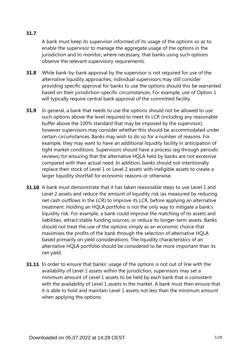A bank must keep its supervisor informed of its usage of the options so as to enable the supervisor to manage the aggregate usage of the options in the jurisdiction and to monitor, where necessary, that banks using such options observe the relevant supervisory requirements.

- While bank-by-bank approval by the supervisor is not required for use of the alternative liquidity approaches, individual supervisors may still consider providing specific approval for banks to use the options should this be warranted based on their jurisdiction-specific circumstances. For example, use of Option 1 will typically require central bank approval of the committed facility. **31.8**
- In general, a bank that needs to use the options should not be allowed to use such options above the level required to meet its LCR (including any reasonable buffer above the 100% standard that may be imposed by the supervisor), however supervisors may consider whether this should be accommodated under certain circumstances. Banks may wish to do so for a number of reasons. For example, they may want to have an additional liquidity facility in anticipation of tight market conditions. Supervisors should have a process (eg through periodic reviews) for ensuring that the alternative HQLA held by banks are not excessive compared with their actual need. In addition, banks should not intentionally replace their stock of Level 1 or Level 2 assets with ineligible assets to create a larger liquidity shortfall for economic reasons or otherwise. **31.9**
- **31.10** A bank must demonstrate that it has taken reasonable steps to use Level 1 and Level 2 assets and reduce the amount of liquidity risk (as measured by reducing net cash outflows in the LCR) to improve its LCR, before applying an alternative treatment. Holding an HQLA portfolio is not the only way to mitigate a bank's liquidity risk. For example, a bank could improve the matching of its assets and liabilities, attract stable funding sources, or reduce its longer-term assets. Banks should not treat the use of the options simply as an economic choice that maximises the profits of the bank through the selection of alternative HQLA based primarily on yield considerations. The liquidity characteristics of an alternative HQLA portfolio should be considered to be more important than its net yield.
- **31.11** In order to ensure that banks' usage of the options is not out of line with the availability of Level 1 assets within the jurisdiction, supervisors may set a minimum amount of Level 1 assets to be held by each bank that is consistent with the availability of Level 1 assets in the market. A bank must then ensure that it is able to hold and maintain Level 1 assets not less than the minimum amount when applying the options.

#### **31.7**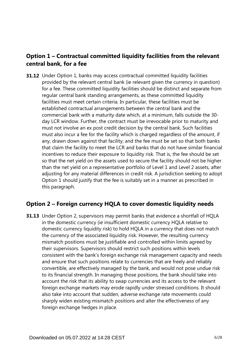## **Option 1 – Contractual committed liquidity facilities from the relevant central bank, for a fee**

**31.12** Under Option 1, banks may access contractual committed liquidity facilities provided by the relevant central bank (ie relevant given the currency in question) for a fee. These committed liquidity facilities should be distinct and separate from regular central bank standing arrangements, as these committed liquidity facilities must meet certain criteria. In particular, these facilities must be established contractual arrangements between the central bank and the commercial bank with a maturity date which, at a minimum, falls outside the 30 day LCR window. Further, the contract must be irrevocable prior to maturity and must not involve an ex post credit decision by the central bank. Such facilities must also incur a fee for the facility which is charged regardless of the amount, if any, drawn down against that facility; and the fee must be set so that both banks that claim the facility to meet the LCR and banks that do not have similar financial incentives to reduce their exposure to liquidity risk. That is, the fee should be set so that the net yield on the assets used to secure the facility should not be higher than the net yield on a representative portfolio of Level 1 and Level 2 assets, after adjusting for any material differences in credit risk. A jurisdiction seeking to adopt Option 1 should justify that the fee is suitably set in a manner as prescribed in this paragraph.

## **Option 2 – Foreign currency HQLA to cover domestic liquidity needs**

**31.13** Under Option 2, supervisors may permit banks that evidence a shortfall of HQLA in the domestic currency (ie insufficient domestic currency HQLA relative to domestic currency liquidity risk) to hold HQLA in a currency that does not match the currency of the associated liquidity risk. However, the resulting currency mismatch positions must be justifiable and controlled within limits agreed by their supervisors. Supervisors should restrict such positions within levels consistent with the bank's foreign exchange risk management capacity and needs and ensure that such positions relate to currencies that are freely and reliably convertible, are effectively managed by the bank, and would not pose undue risk to its financial strength. In managing those positions, the bank should take into account the risk that its ability to swap currencies and its access to the relevant foreign exchange markets may erode rapidly under stressed conditions. It should also take into account that sudden, adverse exchange rate movements could sharply widen existing mismatch positions and alter the effectiveness of any foreign exchange hedges in place.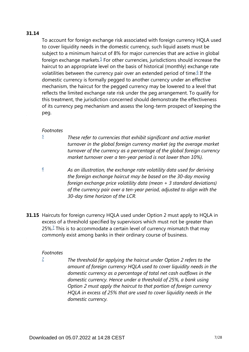#### <span id="page-6-3"></span><span id="page-6-2"></span>**31.14**

To account for foreign exchange risk associated with foreign currency HQLA used to cover liquidity needs in the domestic currency, such liquid assets must be subject to a minimum haircut of 8% for major currencies that are active in global foreign exchange markets. $5$  For other currencies, jurisdictions should increase the haircut to an appropriate level on the basis of historical (monthly) exchange rate volatilities between the currency pair over an extended period of time.<sup>[6](#page-6-1)</sup> If the domestic currency is formally pegged to another currency under an effective mechanism, the haircut for the pegged currency may be lowered to a level that reflects the limited exchange rate risk under the peg arrangement. To qualify for this treatment, the jurisdiction concerned should demonstrate the effectiveness of its currency peg mechanism and assess the long-term prospect of keeping the peg.

#### *Footnotes*

<span id="page-6-0"></span>*[5](#page-6-2)*

*These refer to currencies that exhibit significant and active market turnover in the global foreign currency market (eg the average market turnover of the currency as a percentage of the global foreign currency market turnover over a ten-year period is not lower than 10%).*

<span id="page-6-1"></span>*As an illustration, the exchange rate volatility data used for deriving the foreign exchange haircut may be based on the 30-day moving foreign exchange price volatility data (mean + 3 standard deviations) of the currency pair over a ten-year period, adjusted to align with the 30-day time horizon of the LCR. [6](#page-6-3)*

<span id="page-6-5"></span>**31.15** Haircuts for foreign currency HQLA used under Option 2 must apply to HQLA in excess of a threshold specified by supervisors which must not be greater than 25%.<sup>[7](#page-6-4)</sup> This is to accommodate a certain level of currency mismatch that may commonly exist among banks in their ordinary course of business.

#### *Footnotes*

<span id="page-6-4"></span>*The threshold for applying the haircut under Option 2 refers to the amount of foreign currency HQLA used to cover liquidity needs in the domestic currency as a percentage of total net cash outflows in the domestic currency. Hence under a threshold of 25%, a bank using Option 2 must apply the haircut to that portion of foreign currency HQLA in excess of 25% that are used to cover liquidity needs in the domestic currency. [7](#page-6-5)*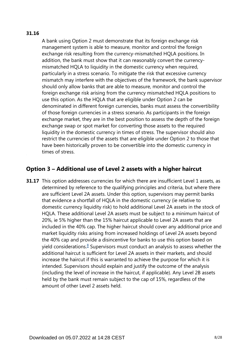#### **31.16**

A bank using Option 2 must demonstrate that its foreign exchange risk management system is able to measure, monitor and control the foreign exchange risk resulting from the currency-mismatched HQLA positions. In addition, the bank must show that it can reasonably convert the currencymismatched HQLA to liquidity in the domestic currency when required, particularly in a stress scenario. To mitigate the risk that excessive currency mismatch may interfere with the objectives of the framework, the bank supervisor should only allow banks that are able to measure, monitor and control the foreign exchange risk arising from the currency mismatched HQLA positions to use this option. As the HQLA that are eligible under Option 2 can be denominated in different foreign currencies, banks must assess the convertibility of those foreign currencies in a stress scenario. As participants in the foreign exchange market, they are in the best position to assess the depth of the foreign exchange swap or spot market for converting those assets to the required liquidity in the domestic currency in times of stress. The supervisor should also restrict the currencies of the assets that are eligible under Option 2 to those that have been historically proven to be convertible into the domestic currency in times of stress.

## **Option 3 – Additional use of Level 2 assets with a higher haircut**

<span id="page-7-0"></span>**31.17** This option addresses currencies for which there are insufficient Level 1 assets, as determined by reference to the qualifying principles and criteria, but where there are sufficient Level 2A assets. Under this option, supervisors may permit banks that evidence a shortfall of HQLA in the domestic currency (ie relative to domestic currency liquidity risk) to hold additional Level 2A assets in the stock of HQLA. These additional Level 2A assets must be subject to a minimum haircut of 20%, ie 5% higher than the 15% haircut applicable to Level 2A assets that are included in the 40% cap. The higher haircut should cover any additional price and market liquidity risks arising from increased holdings of Level 2A assets beyond the 40% cap and provide a disincentive for banks to use this option based on yield considerations.<sup>[8](#page-8-0)</sup> Supervisors must conduct an analysis to assess whether the additional haircut is sufficient for Level 2A assets in their markets, and should increase the haircut if this is warranted to achieve the purpose for which it is intended. Supervisors should explain and justify the outcome of the analysis (including the level of increase in the haircut, if applicable). Any Level 2B assets held by the bank must remain subject to the cap of 15%, regardless of the amount of other Level 2 assets held.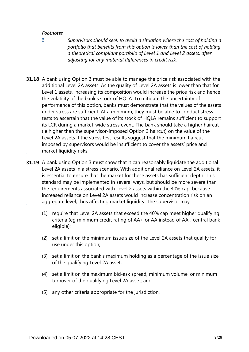<span id="page-8-0"></span>*[8](#page-7-0)*

*Supervisors should seek to avoid a situation where the cost of holding a portfolio that benefits from this option is lower than the cost of holding a theoretical compliant portfolio of Level 1 and Level 2 assets, after adjusting for any material differences in credit risk.*

- **31.18** A bank using Option 3 must be able to manage the price risk associated with the additional Level 2A assets. As the quality of Level 2A assets is lower than that for Level 1 assets, increasing its composition would increase the price risk and hence the volatility of the bank's stock of HQLA. To mitigate the uncertainty of performance of this option, banks must demonstrate that the values of the assets under stress are sufficient. At a minimum, they must be able to conduct stress tests to ascertain that the value of its stock of HQLA remains sufficient to support its LCR during a market-wide stress event. The bank should take a higher haircut (ie higher than the supervisor-imposed Option 3 haircut) on the value of the Level 2A assets if the stress test results suggest that the minimum haircut imposed by supervisors would be insufficient to cover the assets' price and market liquidity risks.
- **31.19** A bank using Option 3 must show that it can reasonably liquidate the additional Level 2A assets in a stress scenario. With additional reliance on Level 2A assets, it is essential to ensure that the market for these assets has sufficient depth. This standard may be implemented in several ways, but should be more severe than the requirements associated with Level 2 assets within the 40% cap, because increased reliance on Level 2A assets would increase concentration risk on an aggregate level, thus affecting market liquidity. The supervisor may:
	- (1) require that Level 2A assets that exceed the 40% cap meet higher qualifying criteria (eg minimum credit rating of AA+ or AA instead of AA-, central bank eligible);
	- (2) set a limit on the minimum issue size of the Level 2A assets that qualify for use under this option;
	- (3) set a limit on the bank's maximum holding as a percentage of the issue size of the qualifying Level 2A asset;
	- (4) set a limit on the maximum bid-ask spread, minimum volume, or minimum turnover of the qualifying Level 2A asset; and
	- (5) any other criteria appropriate for the jurisdiction.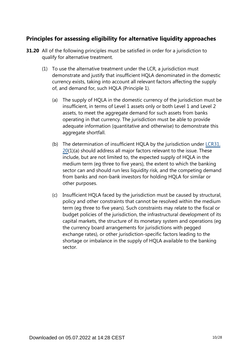## **Principles for assessing eligibility for alternative liquidity approaches**

- **31.20** All of the following principles must be satisfied in order for a jurisdiction to qualify for alternative treatment.
	- (1) To use the alternative treatment under the LCR, a jurisdiction must demonstrate and justify that insufficient HQLA denominated in the domestic currency exists, taking into account all relevant factors affecting the supply of, and demand for, such HQLA (Principle 1).
		- (a) The supply of HQLA in the domestic currency of the jurisdiction must be insufficient, in terms of Level 1 assets only or both Level 1 and Level 2 assets, to meet the aggregate demand for such assets from banks operating in that currency. The jurisdiction must be able to provide adequate information (quantitative and otherwise) to demonstrate this aggregate shortfall.
		- (b) The determination of insufficient HQLA by the jurisdiction under [LCR31.](https://www.bis.org/basel_framework/chapter/LCR/31.htm?tldate=20191231&inforce=20191215&published=20191215#paragraph_LCR_31_20191215_31_20) [20\(](https://www.bis.org/basel_framework/chapter/LCR/31.htm?tldate=20191231&inforce=20191215&published=20191215#paragraph_LCR_31_20191215_31_20)1)(a) should address all major factors relevant to the issue. These include, but are not limited to, the expected supply of HQLA in the medium term (eg three to five years), the extent to which the banking sector can and should run less liquidity risk, and the competing demand from banks and non-bank investors for holding HQLA for similar or other purposes.
		- (c) Insufficient HQLA faced by the jurisdiction must be caused by structural, policy and other constraints that cannot be resolved within the medium term (eg three to five years). Such constraints may relate to the fiscal or budget policies of the jurisdiction, the infrastructural development of its capital markets, the structure of its monetary system and operations (eg the currency board arrangements for jurisdictions with pegged exchange rates), or other jurisdiction-specific factors leading to the shortage or imbalance in the supply of HQLA available to the banking sector.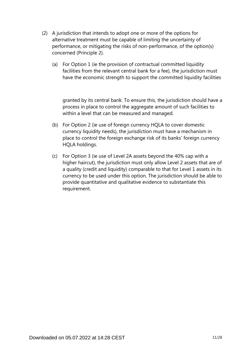- (2) A jurisdiction that intends to adopt one or more of the options for alternative treatment must be capable of limiting the uncertainty of performance, or mitigating the risks of non-performance, of the option(s) concerned (Principle 2).
	- (a) For Option 1 (ie the provision of contractual committed liquidity facilities from the relevant central bank for a fee), the jurisdiction must have the economic strength to support the committed liquidity facilities

granted by its central bank. To ensure this, the jurisdiction should have a process in place to control the aggregate amount of such facilities to within a level that can be measured and managed.

- (b) For Option 2 (ie use of foreign currency HQLA to cover domestic currency liquidity needs), the jurisdiction must have a mechanism in place to control the foreign exchange risk of its banks' foreign currency HQLA holdings.
- (c) For Option 3 (ie use of Level 2A assets beyond the 40% cap with a higher haircut), the jurisdiction must only allow Level 2 assets that are of a quality (credit and liquidity) comparable to that for Level 1 assets in its currency to be used under this option. The jurisdiction should be able to provide quantitative and qualitative evidence to substantiate this requirement.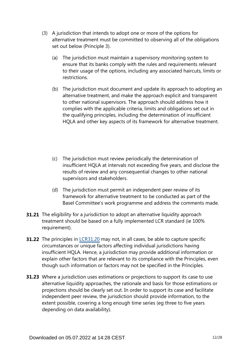- (3) A jurisdiction that intends to adopt one or more of the options for alternative treatment must be committed to observing all of the obligations set out below (Principle 3).
	- (a) The jurisdiction must maintain a supervisory monitoring system to ensure that its banks comply with the rules and requirements relevant to their usage of the options, including any associated haircuts, limits or restrictions.
	- (b) The jurisdiction must document and update its approach to adopting an alternative treatment, and make the approach explicit and transparent to other national supervisors. The approach should address how it complies with the applicable criteria, limits and obligations set out in the qualifying principles, including the determination of insufficient HQLA and other key aspects of its framework for alternative treatment.
	- (c) The jurisdiction must review periodically the determination of insufficient HQLA at intervals not exceeding five years, and disclose the results of review and any consequential changes to other national supervisors and stakeholders.
	- (d) The jurisdiction must permit an independent peer review of its framework for alternative treatment to be conducted as part of the Basel Committee's work programme and address the comments made.
- **31.21** The eligibility for a jurisdiction to adopt an alternative liquidity approach treatment should be based on a fully implemented LCR standard (ie 100% requirement).
- **31.22** The principles in [LCR31.20](https://www.bis.org/basel_framework/chapter/LCR/31.htm?tldate=20191231&inforce=20191215&published=20191215#paragraph_LCR_31_20191215_31_20) may not, in all cases, be able to capture specific circumstances or unique factors affecting individual jurisdictions having insufficient HQLA. Hence, a jurisdiction may provide additional information or explain other factors that are relevant to its compliance with the Principles, even though such information or factors may not be specified in the Principles.
- **31.23** Where a jurisdiction uses estimations or projections to support its case to use alternative liquidity approaches, the rationale and basis for those estimations or projections should be clearly set out. In order to support its case and facilitate independent peer review, the jurisdiction should provide information, to the extent possible, covering a long enough time series (eg three to five years depending on data availability).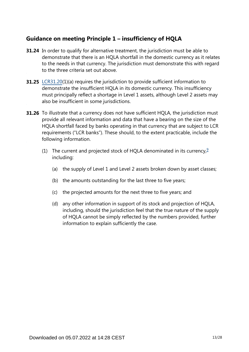## **Guidance on meeting Principle 1 – insufficiency of HQLA**

- **31.24** In order to qualify for alternative treatment, the jurisdiction must be able to demonstrate that there is an HQLA shortfall in the domestic currency as it relates to the needs in that currency. The jurisdiction must demonstrate this with regard to the three criteria set out above.
- **31.25** [LCR31.20\(](https://www.bis.org/basel_framework/chapter/LCR/31.htm?tldate=20191231&inforce=20191215&published=20191215#paragraph_LCR_31_20191215_31_20)1)(a) requires the jurisdiction to provide sufficient information to demonstrate the insufficient HQLA in its domestic currency. This insufficiency must principally reflect a shortage in Level 1 assets, although Level 2 assets may also be insufficient in some jurisdictions.
- <span id="page-12-0"></span>**31.26** To illustrate that a currency does not have sufficient HQLA, the jurisdiction must provide all relevant information and data that have a bearing on the size of the HQLA shortfall faced by banks operating in that currency that are subject to LCR requirements ("LCR banks"). These should, to the extent practicable, include the following information.
	- (1) The current and projected stock of HQLA denominated in its currency,  $\frac{9}{2}$  $\frac{9}{2}$  $\frac{9}{2}$ including:
		- (a) the supply of Level 1 and Level 2 assets broken down by asset classes;
		- (b) the amounts outstanding for the last three to five years;
		- (c) the projected amounts for the next three to five years; and
		- (d) any other information in support of its stock and projection of HQLA, including, should the jurisdiction feel that the true nature of the supply of HQLA cannot be simply reflected by the numbers provided, further information to explain sufficiently the case.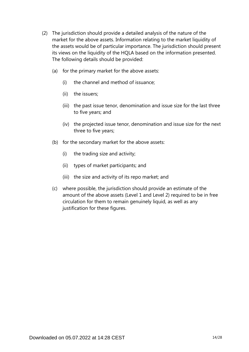- (2) The jurisdiction should provide a detailed analysis of the nature of the market for the above assets. Information relating to the market liquidity of the assets would be of particular importance. The jurisdiction should present its views on the liquidity of the HQLA based on the information presented. The following details should be provided:
	- (a) for the primary market for the above assets:
		- (i) the channel and method of issuance;
		- (ii) the issuers;
		- (iii) the past issue tenor, denomination and issue size for the last three to five years; and
		- (iv) the projected issue tenor, denomination and issue size for the next three to five years;
	- (b) for the secondary market for the above assets:
		- (i) the trading size and activity;
		- (ii) types of market participants; and
		- (iii) the size and activity of its repo market; and
	- (c) where possible, the jurisdiction should provide an estimate of the amount of the above assets (Level 1 and Level 2) required to be in free circulation for them to remain genuinely liquid, as well as any justification for these figures.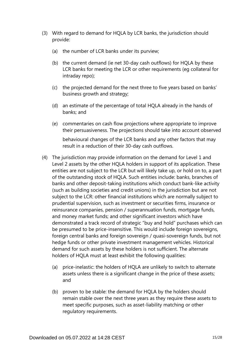- (3) With regard to demand for HQLA by LCR banks, the jurisdiction should provide:
	- (a) the number of LCR banks under its purview;
	- (b) the current demand (ie net 30-day cash outflows) for HQLA by these LCR banks for meeting the LCR or other requirements (eg collateral for intraday repo);
	- (c) the projected demand for the next three to five years based on banks' business growth and strategy;
	- (d) an estimate of the percentage of total HQLA already in the hands of banks; and
	- (e) commentaries on cash flow projections where appropriate to improve their persuasiveness. The projections should take into account observed behavioural changes of the LCR banks and any other factors that may result in a reduction of their 30-day cash outflows.
- (4) The jurisdiction may provide information on the demand for Level 1 and Level 2 assets by the other HQLA holders in support of its application. These entities are not subject to the LCR but will likely take up, or hold on to, a part of the outstanding stock of HQLA. Such entities include: banks, branches of banks and other deposit-taking institutions which conduct bank-like activity (such as building societies and credit unions) in the jurisdiction but are not subject to the LCR: other financial institutions which are normally subject to prudential supervision, such as investment or securities firms, insurance or reinsurance companies, pension / superannuation funds, mortgage funds, and money market funds; and other significant investors which have demonstrated a track record of strategic "buy and hold" purchases which can be presumed to be price-insensitive. This would include foreign sovereigns, foreign central banks and foreign sovereign / quasi-sovereign funds, but not hedge funds or other private investment management vehicles. Historical demand for such assets by these holders is not sufficient. The alternate holders of HQLA must at least exhibit the following qualities:
	- (a) price-inelastic: the holders of HQLA are unlikely to switch to alternate assets unless there is a significant change in the price of these assets; and
	- (b) proven to be stable: the demand for HQLA by the holders should remain stable over the next three years as they require these assets to meet specific purposes, such as asset-liability matching or other regulatory requirements.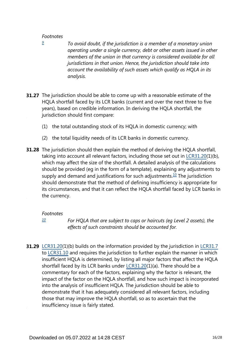<span id="page-15-0"></span>*[9](#page-12-0)*

- *To avoid doubt, if the jurisdiction is a member of a monetary union operating under a single currency, debt or other assets issued in other members of the union in that currency is considered available for all jurisdictions in that union. Hence, the jurisdiction should take into account the availability of such assets which qualify as HQLA in its analysis.*
- **31.27** The jurisdiction should be able to come up with a reasonable estimate of the HQLA shortfall faced by its LCR banks (current and over the next three to five years), based on credible information. In deriving the HQLA shortfall, the jurisdiction should first compare:
	- (1) the total outstanding stock of its HQLA in domestic currency; with
	- (2) the total liquidity needs of its LCR banks in domestic currency.
- <span id="page-15-2"></span>**31.28** The jurisdiction should then explain the method of deriving the HQLA shortfall, taking into account all relevant factors, including those set out in [LCR31.20\(](https://www.bis.org/basel_framework/chapter/LCR/31.htm?tldate=20191231&inforce=20191215&published=20191215#paragraph_LCR_31_20191215_31_20)1)(b), which may affect the size of the shortfall. A detailed analysis of the calculations should be provided (eg in the form of a template), explaining any adjustments to supply and demand and justifications for such adjustments.<sup>[10](#page-15-1)</sup> The jurisdiction should demonstrate that the method of defining insufficiency is appropriate for its circumstances, and that it can reflect the HQLA shortfall faced by LCR banks in the currency.

#### *Footnotes*

*[10](#page-15-2)*

*For HQLA that are subject to caps or haircuts (eg Level 2 assets), the effects of such constraints should be accounted for.*

<span id="page-15-1"></span>**31.29** [LCR31.20\(](https://www.bis.org/basel_framework/chapter/LCR/31.htm?tldate=20191231&inforce=20191215&published=20191215#paragraph_LCR_31_20191215_31_20)1)(b) builds on the information provided by the jurisdiction in [LCR31.7](https://www.bis.org/basel_framework/chapter/LCR/31.htm?tldate=20191231&inforce=20191215&published=20191215#paragraph_LCR_31_20191215_31_7) to [LCR31.10](https://www.bis.org/basel_framework/chapter/LCR/31.htm?tldate=20191231&inforce=20191215&published=20191215#paragraph_LCR_31_20191215_31_10) and requires the jurisdiction to further explain the manner in which insufficient HQLA is determined, by listing all major factors that affect the HQLA shortfall faced by its LCR banks under [LCR31.20](https://www.bis.org/basel_framework/chapter/LCR/31.htm?tldate=20191231&inforce=20191215&published=20191215#paragraph_LCR_31_20191215_31_20)(1)(a). There should be a commentary for each of the factors, explaining why the factor is relevant, the impact of the factor on the HQLA shortfall, and how such impact is incorporated into the analysis of insufficient HQLA. The jurisdiction should be able to demonstrate that it has adequately considered all relevant factors, including those that may improve the HQLA shortfall, so as to ascertain that the insufficiency issue is fairly stated.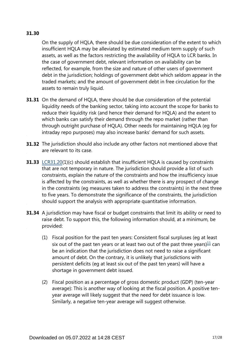#### **31.30**

On the supply of HQLA, there should be due consideration of the extent to which insufficient HQLA may be alleviated by estimated medium term supply of such assets, as well as the factors restricting the availability of HQLA to LCR banks. In the case of government debt, relevant information on availability can be reflected, for example, from the size and nature of other users of government debt in the jurisdiction; holdings of government debt which seldom appear in the traded markets; and the amount of government debt in free circulation for the assets to remain truly liquid.

- **31.31** On the demand of HQLA, there should be due consideration of the potential liquidity needs of the banking sector, taking into account the scope for banks to reduce their liquidity risk (and hence their demand for HQLA) and the extent to which banks can satisfy their demand through the repo market (rather than through outright purchase of HQLA). Other needs for maintaining HQLA (eg for intraday repo purposes) may also increase banks' demand for such assets.
- **31.32** The jurisdiction should also include any other factors not mentioned above that are relevant to its case.
- **31.33** [LCR31.20\(](https://www.bis.org/basel_framework/chapter/LCR/31.htm?tldate=20191231&inforce=20191215&published=20191215#paragraph_LCR_31_20191215_31_20)1)(c) should establish that insufficient HQLA is caused by constraints that are not temporary in nature. The jurisdiction should provide a list of such constraints, explain the nature of the constraints and how the insufficiency issue is affected by the constraints, as well as whether there is any prospect of change in the constraints (eg measures taken to address the constraints) in the next three to five years. To demonstrate the significance of the constraints, the jurisdiction should support the analysis with appropriate quantitative information.
- <span id="page-16-0"></span>**31.34** A jurisdiction may have fiscal or budget constraints that limit its ability or need to raise debt. To support this, the following information should, at a minimum, be provided:
	- (1) Fiscal position for the past ten years: Consistent fiscal surpluses (eg at least six out of the past ten years or at least two out of the past three years) $\frac{11}{1}$  $\frac{11}{1}$  $\frac{11}{1}$  can be an indication that the jurisdiction does not need to raise a significant amount of debt. On the contrary, it is unlikely that jurisdictions with persistent deficits (eg at least six out of the past ten years) will have a shortage in government debt issued.
	- (2) Fiscal position as a percentage of gross domestic product (GDP) (ten-year average): This is another way of looking at the fiscal position. A positive tenyear average will likely suggest that the need for debt issuance is low. Similarly, a negative ten-year average will suggest otherwise.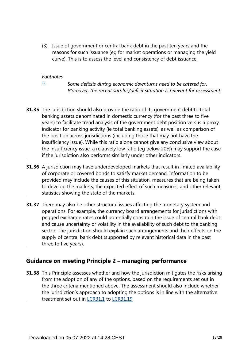(3) Issue of government or central bank debt in the past ten years and the reasons for such issuance (eg for market operations or managing the yield curve). This is to assess the level and consistency of debt issuance.

#### *Footnotes*

*[11](#page-16-0)*

*Some deficits during economic downturns need to be catered for. Moreover, the recent surplus/deficit situation is relevant for assessment.*

- <span id="page-17-0"></span>**31.35** The jurisdiction should also provide the ratio of its government debt to total banking assets denominated in domestic currency (for the past three to five years) to facilitate trend analysis of the government debt position versus a proxy indicator for banking activity (ie total banking assets), as well as comparison of the position across jurisdictions (including those that may not have the insufficiency issue). While this ratio alone cannot give any conclusive view about the insufficiency issue, a relatively low ratio (eg below 20%) may support the case if the jurisdiction also performs similarly under other indicators.
- **31.36** A jurisdiction may have underdeveloped markets that result in limited availability of corporate or covered bonds to satisfy market demand. Information to be provided may include the causes of this situation, measures that are being taken to develop the markets, the expected effect of such measures, and other relevant statistics showing the state of the markets.
- **31.37** There may also be other structural issues affecting the monetary system and operations. For example, the currency board arrangements for jurisdictions with pegged exchange rates could potentially constrain the issue of central bank debt and cause uncertainty or volatility in the availability of such debt to the banking sector. The jurisdiction should explain such arrangements and their effects on the supply of central bank debt (supported by relevant historical data in the past three to five years).

## **Guidance on meeting Principle 2 – managing performance**

**31.38** This Principle assesses whether and how the jurisdiction mitigates the risks arising from the adoption of any of the options, based on the requirements set out in the three criteria mentioned above. The assessment should also include whether the jurisdiction's approach to adopting the options is in line with the alternative treatment set out in [LCR31.1](https://www.bis.org/basel_framework/chapter/LCR/31.htm?tldate=20191231&inforce=20191215&published=20191215#paragraph_LCR_31_20191215_31_1) to [LCR31.19.](https://www.bis.org/basel_framework/chapter/LCR/31.htm?tldate=20191231&inforce=20191215&published=20191215#paragraph_LCR_31_20191215_31_19)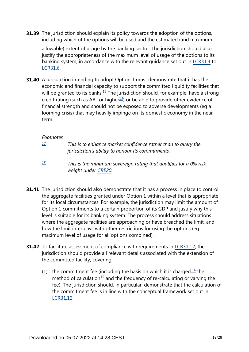**31.39** The jurisdiction should explain its policy towards the adoption of the options, including which of the options will be used and the estimated (and maximum

allowable) extent of usage by the banking sector. The jurisdiction should also justify the appropriateness of the maximum level of usage of the options to its banking system, in accordance with the relevant guidance set out in [LCR31.4](https://www.bis.org/basel_framework/chapter/LCR/31.htm?tldate=20191231&inforce=20191215&published=20191215#paragraph_LCR_31_20191215_31_4) to [LCR31.6](https://www.bis.org/basel_framework/chapter/LCR/31.htm?tldate=20191231&inforce=20191215&published=20191215#paragraph_LCR_31_20191215_31_6).

<span id="page-18-3"></span><span id="page-18-2"></span>**31.40** A jurisdiction intending to adopt Option 1 must demonstrate that it has the economic and financial capacity to support the committed liquidity facilities that will be granted to its banks.<sup>[12](#page-18-0)</sup> The jurisdiction should, for example, have a strong credit rating (such as AA- or higher $1/3$ ) or be able to provide other evidence of financial strength and should not be exposed to adverse developments (eg a looming crisis) that may heavily impinge on its domestic economy in the near term.

#### *Footnotes*

<span id="page-18-0"></span>*[12](#page-18-2)*

- *This is to enhance market confidence rather than to query the jurisdiction's ability to honour its commitments.*
- *This is the minimum sovereign rating that qualifies for a 0% risk weight under [CRE20.](https://www.bis.org/basel_framework/chapter/CRE/20.htm?tldate=20191231&inforce=20191215&published=20191215) [13](#page-18-3)*
- <span id="page-18-1"></span>**31.41** The jurisdiction should also demonstrate that it has a process in place to control the aggregate facilities granted under Option 1 within a level that is appropriate for its local circumstances. For example, the jurisdiction may limit the amount of Option 1 commitments to a certain proportion of its GDP and justify why this level is suitable for its banking system. The process should address situations where the aggregate facilities are approaching or have breached the limit, and how the limit interplays with other restrictions for using the options (eg maximum level of usage for all options combined).
- <span id="page-18-5"></span><span id="page-18-4"></span>**31.42** To facilitate assessment of compliance with requirements in [LCR31.12](https://www.bis.org/basel_framework/chapter/LCR/31.htm?tldate=20191231&inforce=20191215&published=20191215#paragraph_LCR_31_20191215_31_12), the jurisdiction should provide all relevant details associated with the extension of the committed facility, covering:
	- (1) the commitment fee (including the basis on which it is charged,  $\frac{14}{1}$  $\frac{14}{1}$  $\frac{14}{1}$  the method of calculation<sup>[15](#page-19-1)</sup> and the frequency of re-calculating or varying the fee). The jurisdiction should, in particular, demonstrate that the calculation of the commitment fee is in line with the conceptual framework set out in [LCR31.12](https://www.bis.org/basel_framework/chapter/LCR/31.htm?tldate=20191231&inforce=20191215&published=20191215#paragraph_LCR_31_20191215_31_12);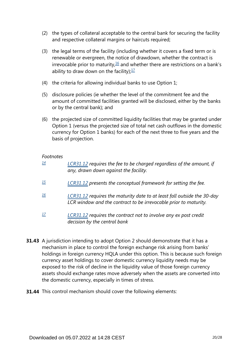- (2) the types of collateral acceptable to the central bank for securing the facility and respective collateral margins or haircuts required;
- <span id="page-19-4"></span>(3) the legal terms of the facility (including whether it covers a fixed term or is renewable or evergreen, the notice of drawdown, whether the contract is irrevocable prior to maturity, $\frac{16}{2}$  $\frac{16}{2}$  $\frac{16}{2}$  and whether there are restrictions on a bank's ability to draw down on the facility): $\frac{17}{2}$  $\frac{17}{2}$  $\frac{17}{2}$
- <span id="page-19-5"></span>(4) the criteria for allowing individual banks to use Option 1;
- (5) disclosure policies (ie whether the level of the commitment fee and the amount of committed facilities granted will be disclosed, either by the banks or by the central bank); and
- (6) the projected size of committed liquidity facilities that may be granted under Option 1 (versus the projected size of total net cash outflows in the domestic currency for Option 1 banks) for each of the next three to five years and the basis of projection.

<span id="page-19-2"></span><span id="page-19-1"></span><span id="page-19-0"></span>

| 14  | LCR31.12 requires the fee to be charged regardless of the amount, if<br>any, drawn down against the facility.                               |
|-----|---------------------------------------------------------------------------------------------------------------------------------------------|
| 15  | LCR31.12 presents the conceptual framework for setting the fee.                                                                             |
| 16  | LCR31.12 requires the maturity date to at least fall outside the 30-day<br>LCR window and the contract to be irrevocable prior to maturity. |
| -17 | LCR31.12 requires the contract not to involve any ex post credit                                                                            |

- <span id="page-19-3"></span>**31.43** A jurisdiction intending to adopt Option 2 should demonstrate that it has a mechanism in place to control the foreign exchange risk arising from banks' holdings in foreign currency HQLA under this option. This is because such foreign currency asset holdings to cover domestic currency liquidity needs may be exposed to the risk of decline in the liquidity value of those foreign currency assets should exchange rates move adversely when the assets are converted into the domestic currency, especially in times of stress.
- **31.44** This control mechanism should cover the following elements:

*decision by the central bank*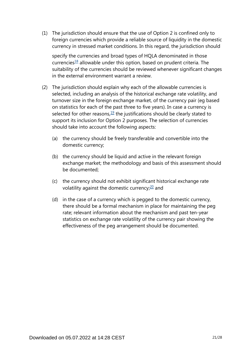(1) The jurisdiction should ensure that the use of Option 2 is confined only to foreign currencies which provide a reliable source of liquidity in the domestic currency in stressed market conditions. In this regard, the jurisdiction should

specify the currencies and broad types of HQLA denominated in those currencies<sup>[18](#page-22-0)</sup> allowable under this option, based on prudent criteria. The suitability of the currencies should be reviewed whenever significant changes in the external environment warrant a review.

- <span id="page-20-2"></span><span id="page-20-1"></span><span id="page-20-0"></span>(2) The jurisdiction should explain why each of the allowable currencies is selected, including an analysis of the historical exchange rate volatility, and turnover size in the foreign exchange market, of the currency pair (eg based on statistics for each of the past three to five years). In case a currency is selected for other reasons, $19$  the justifications should be clearly stated to support its inclusion for Option 2 purposes. The selection of currencies should take into account the following aspects:
	- (a) the currency should be freely transferable and convertible into the domestic currency;
	- (b) the currency should be liquid and active in the relevant foreign exchange market; the methodology and basis of this assessment should be documented;
	- (c) the currency should not exhibit significant historical exchange rate volatility against the domestic currency; $20$  and
	- (d) in the case of a currency which is pegged to the domestic currency, there should be a formal mechanism in place for maintaining the peg rate; relevant information about the mechanism and past ten-year statistics on exchange rate volatility of the currency pair showing the effectiveness of the peg arrangement should be documented.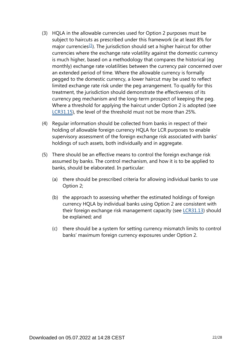- <span id="page-21-0"></span>(3) HQLA in the allowable currencies used for Option 2 purposes must be subject to haircuts as prescribed under this framework (ie at least 8% for major currencies $21$ ). The jurisdiction should set a higher haircut for other currencies where the exchange rate volatility against the domestic currency is much higher, based on a methodology that compares the historical (eg monthly) exchange rate volatilities between the currency pair concerned over an extended period of time. Where the allowable currency is formally pegged to the domestic currency, a lower haircut may be used to reflect limited exchange rate risk under the peg arrangement. To qualify for this treatment, the jurisdiction should demonstrate the effectiveness of its currency peg mechanism and the long-term prospect of keeping the peg. Where a threshold for applying the haircut under Option 2 is adopted (see [LCR31.15](https://www.bis.org/basel_framework/chapter/LCR/31.htm?tldate=20191231&inforce=20191215&published=20191215#paragraph_LCR_31_20191215_31_15)), the level of the threshold must not be more than 25%.
- (4) Regular information should be collected from banks in respect of their holding of allowable foreign currency HQLA for LCR purposes to enable supervisory assessment of the foreign exchange risk associated with banks' holdings of such assets, both individually and in aggregate.
- (5) There should be an effective means to control the foreign exchange risk assumed by banks. The control mechanism, and how it is to be applied to banks, should be elaborated. In particular:
	- (a) there should be prescribed criteria for allowing individual banks to use Option 2;
	- (b) the approach to assessing whether the estimated holdings of foreign currency HQLA by individual banks using Option 2 are consistent with their foreign exchange risk management capacity (see [LCR31.13](https://www.bis.org/basel_framework/chapter/LCR/31.htm?tldate=20191231&inforce=20191215&published=20191215#paragraph_LCR_31_20191215_31_13)) should be explained; and
	- (c) there should be a system for setting currency mismatch limits to control banks' maximum foreign currency exposures under Option 2.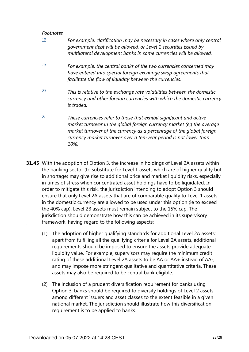<span id="page-22-2"></span><span id="page-22-1"></span><span id="page-22-0"></span>

| 18 | For example, clarification may be necessary in cases where only central<br>government debt will be allowed, or Level 1 securities issued by<br>multilateral development banks in some currencies will be allowed.                                                                                   |
|----|-----------------------------------------------------------------------------------------------------------------------------------------------------------------------------------------------------------------------------------------------------------------------------------------------------|
| 19 | For example, the central banks of the two currencies concerned may<br>have entered into special foreign exchange swap agreements that<br>facilitate the flow of liquidity between the currencies.                                                                                                   |
| 20 | This is relative to the exchange rate volatilities between the domestic<br>currency and other foreign currencies with which the domestic currency<br>is traded.                                                                                                                                     |
| 21 | These currencies refer to those that exhibit significant and active<br>market turnover in the global foreign currency market (eq the average<br>market turnover of the currency as a percentage of the global foreign<br>currency market turnover over a ten-year period is not lower than<br>10%). |

- <span id="page-22-3"></span>**31.45** With the adoption of Option 3, the increase in holdings of Level 2A assets within the banking sector (to substitute for Level 1 assets which are of higher quality but in shortage) may give rise to additional price and market liquidity risks, especially in times of stress when concentrated asset holdings have to be liquidated. In order to mitigate this risk, the jurisdiction intending to adopt Option 3 should ensure that only Level 2A assets that are of comparable quality to Level 1 assets in the domestic currency are allowed to be used under this option (ie to exceed the 40% cap). Level 2B assets must remain subject to the 15% cap. The jurisdiction should demonstrate how this can be achieved in its supervisory framework, having regard to the following aspects:
	- (1) The adoption of higher qualifying standards for additional Level 2A assets: apart from fulfilling all the qualifying criteria for Level 2A assets, additional requirements should be imposed to ensure the assets provide adequate liquidity value. For example, supervisors may require the minimum credit rating of these additional Level 2A assets to be AA or AA+ instead of AA-, and may impose more stringent qualitative and quantitative criteria. These assets may also be required to be central bank eligible.
	- (2) The inclusion of a prudent diversification requirement for banks using Option 3: banks should be required to diversify holdings of Level 2 assets among different issuers and asset classes to the extent feasible in a given national market. The jurisdiction should illustrate how this diversification requirement is to be applied to banks.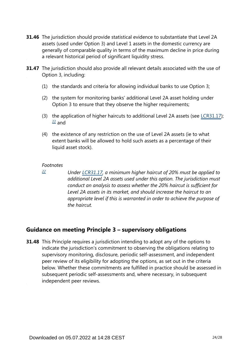- **31.46** The jurisdiction should provide statistical evidence to substantiate that Level 2A assets (used under Option 3) and Level 1 assets in the domestic currency are generally of comparable quality in terms of the maximum decline in price during a relevant historical period of significant liquidity stress.
- **31.47** The jurisdiction should also provide all relevant details associated with the use of Option 3, including:
	- (1) the standards and criteria for allowing individual banks to use Option 3;
	- (2) the system for monitoring banks' additional Level 2A asset holding under Option 3 to ensure that they observe the higher requirements;
	- (3) the application of higher haircuts to additional Level 2A assets (see [LCR31.17\)](https://www.bis.org/basel_framework/chapter/LCR/31.htm?tldate=20191231&inforce=20191215&published=20191215#paragraph_LCR_31_20191215_31_17);  $\frac{22}{ }$  $\frac{22}{ }$  $\frac{22}{ }$  and
	- (4) the existence of any restriction on the use of Level 2A assets (ie to what extent banks will be allowed to hold such assets as a percentage of their liquid asset stock).

<span id="page-23-0"></span>*[22](#page-0-0)*

*Under [LCR31.17](https://www.bis.org/basel_framework/chapter/LCR/31.htm?tldate=20191231&inforce=20191215&published=20191215#paragraph_LCR_31_20191215_31_17), a minimum higher haircut of 20% must be applied to additional Level 2A assets used under this option. The jurisdiction must conduct an analysis to assess whether the 20% haircut is sufficient for Level 2A assets in its market, and should increase the haircut to an appropriate level if this is warranted in order to achieve the purpose of the haircut.* 

## **Guidance on meeting Principle 3 – supervisory obligations**

**31.48** This Principle requires a jurisdiction intending to adopt any of the options to indicate the jurisdiction's commitment to observing the obligations relating to supervisory monitoring, disclosure, periodic self-assessment, and independent peer review of its eligibility for adopting the options, as set out in the criteria below. Whether these commitments are fulfilled in practice should be assessed in subsequent periodic self-assessments and, where necessary, in subsequent independent peer reviews.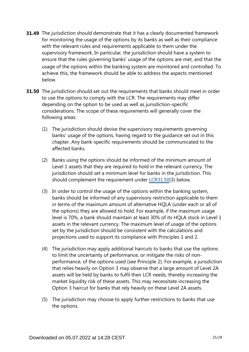- **31.49** The jurisdiction should demonstrate that it has a clearly documented framework for monitoring the usage of the options by its banks as well as their compliance with the relevant rules and requirements applicable to them under the supervisory framework. In particular, the jurisdiction should have a system to ensure that the rules governing banks' usage of the options are met, and that the usage of the options within the banking system are monitored and controlled. To achieve this, the framework should be able to address the aspects mentioned below.
- **31.50** The jurisdiction should set out the requirements that banks should meet in order to use the options to comply with the LCR. The requirements may differ depending on the option to be used as well as jurisdiction-specific considerations. The scope of these requirements will generally cover the following areas:
	- (1) The jurisdiction should devise the supervisory requirements governing banks' usage of the options, having regard to the guidance set out in this chapter. Any bank-specific requirements should be communicated to the affected banks.
	- (2) Banks using the options should be informed of the minimum amount of Level 1 assets that they are required to hold in the relevant currency. The jurisdiction should set a minimum level for banks in the jurisdiction. This should complement the requirement under [LCR31.50](https://www.bis.org/basel_framework/chapter/LCR/31.htm?tldate=20191231&inforce=20191215&published=20191215#paragraph_LCR_31_20191215_31_50)(3) below.
	- (3) In order to control the usage of the options within the banking system, banks should be informed of any supervisory restriction applicable to them in terms of the maximum amount of alternative HQLA (under each or all of the options) they are allowed to hold. For example, if the maximum usage level is 70%, a bank should maintain at least 30% of its HQLA stock in Level 1 assets in the relevant currency. The maximum level of usage of the options set by the jurisdiction should be consistent with the calculations and projections used to support its compliance with Principles 1 and 2.
	- (4) The jurisdiction may apply additional haircuts to banks that use the options to limit the uncertainty of performance, or mitigate the risks of nonperformance, of the options used (see Principle 2). For example, a jurisdiction that relies heavily on Option 3 may observe that a large amount of Level 2A assets will be held by banks to fulfil their LCR needs, thereby increasing the market liquidity risk of these assets. This may necessitate increasing the Option 3 haircut for banks that rely heavily on these Level 2A assets.
	- (5) The jurisdiction may choose to apply further restrictions to banks that use the options.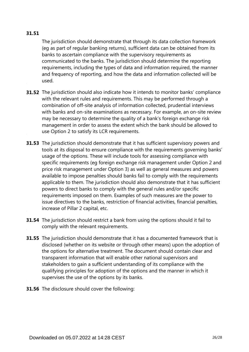#### **31.51**

The jurisdiction should demonstrate that through its data collection framework (eg as part of regular banking returns), sufficient data can be obtained from its banks to ascertain compliance with the supervisory requirements as communicated to the banks. The jurisdiction should determine the reporting requirements, including the types of data and information required, the manner and frequency of reporting, and how the data and information collected will be used.

- **31.52** The jurisdiction should also indicate how it intends to monitor banks' compliance with the relevant rules and requirements. This may be performed through a combination of off-site analysis of information collected, prudential interviews with banks and on-site examinations as necessary. For example, an on-site review may be necessary to determine the quality of a bank's foreign exchange risk management in order to assess the extent which the bank should be allowed to use Option 2 to satisfy its LCR requirements.
- **31.53** The jurisdiction should demonstrate that it has sufficient supervisory powers and tools at its disposal to ensure compliance with the requirements governing banks' usage of the options. These will include tools for assessing compliance with specific requirements (eg foreign exchange risk management under Option 2 and price risk management under Option 3) as well as general measures and powers available to impose penalties should banks fail to comply with the requirements applicable to them. The jurisdiction should also demonstrate that it has sufficient powers to direct banks to comply with the general rules and/or specific requirements imposed on them. Examples of such measures are the power to issue directives to the banks, restriction of financial activities, financial penalties, increase of Pillar 2 capital, etc.
- **31.54** The jurisdiction should restrict a bank from using the options should it fail to comply with the relevant requirements.
- **31.55** The jurisdiction should demonstrate that it has a documented framework that is disclosed (whether on its website or through other means) upon the adoption of the options for alternative treatment. The document should contain clear and transparent information that will enable other national supervisors and stakeholders to gain a sufficient understanding of its compliance with the qualifying principles for adoption of the options and the manner in which it supervises the use of the options by its banks.
- **31.56** The disclosure should cover the following: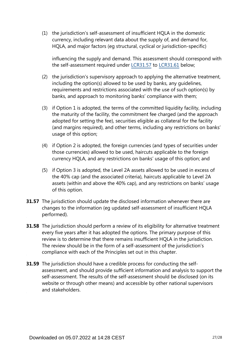(1) the jurisdiction's self-assessment of insufficient HQLA in the domestic currency, including relevant data about the supply of, and demand for, HQLA, and major factors (eg structural, cyclical or jurisdiction-specific)

influencing the supply and demand. This assessment should correspond with the self-assessment required under [LCR31.57](https://www.bis.org/basel_framework/chapter/LCR/31.htm?tldate=20191231&inforce=20191215&published=20191215#paragraph_LCR_31_20191215_31_57) to [LCR31.61](https://www.bis.org/basel_framework/chapter/LCR/31.htm?tldate=20191231&inforce=20191215&published=20191215#paragraph_LCR_31_20191215_31_61) below;

- (2) the jurisdiction's supervisory approach to applying the alternative treatment, including the option(s) allowed to be used by banks, any guidelines, requirements and restrictions associated with the use of such option(s) by banks, and approach to monitoring banks' compliance with them;
- (3) if Option 1 is adopted, the terms of the committed liquidity facility, including the maturity of the facility, the commitment fee charged (and the approach adopted for setting the fee), securities eligible as collateral for the facility (and margins required), and other terms, including any restrictions on banks' usage of this option;
- (4) if Option 2 is adopted, the foreign currencies (and types of securities under those currencies) allowed to be used, haircuts applicable to the foreign currency HQLA, and any restrictions on banks' usage of this option; and
- (5) if Option 3 is adopted, the Level 2A assets allowed to be used in excess of the 40% cap (and the associated criteria), haircuts applicable to Level 2A assets (within and above the 40% cap), and any restrictions on banks' usage of this option.
- **31.57** The jurisdiction should update the disclosed information whenever there are changes to the information (eg updated self-assessment of insufficient HQLA performed).
- **31.58** The jurisdiction should perform a review of its eligibility for alternative treatment every five years after it has adopted the options. The primary purpose of this review is to determine that there remains insufficient HQLA in the jurisdiction. The review should be in the form of a self-assessment of the jurisdiction's compliance with each of the Principles set out in this chapter.
- **31.59** The jurisdiction should have a credible process for conducting the selfassessment, and should provide sufficient information and analysis to support the self-assessment. The results of the self-assessment should be disclosed (on its website or through other means) and accessible by other national supervisors and stakeholders.